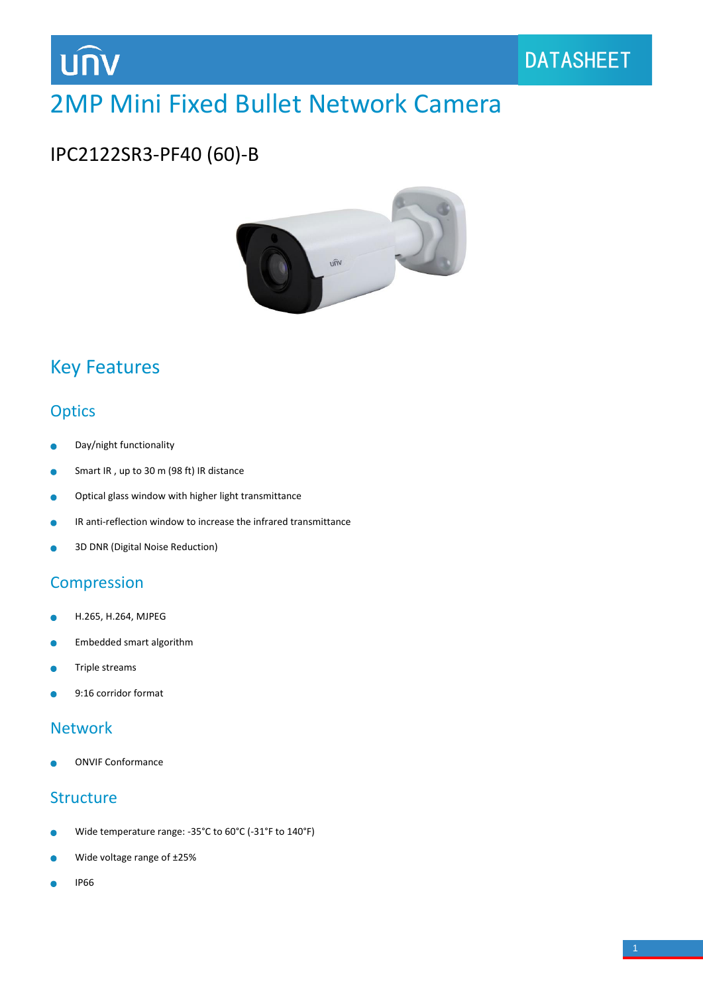

# 2MP Mini Fixed Bullet Network Camera

## IPC2122SR3-PF40 (60)-B



## Key Features

#### **Optics**

- Day/night functionality ä
- Smart IR , up to 30 m (98 ft) IR distance ä
- Optical glass window with higher light transmittance  $\bullet$
- IR anti-reflection window to increase the infrared transmittance Ċ
- 3D DNR (Digital Noise Reduction) Ċ

#### Compression

- H.265, H.264, MJPEG ۰
- Embedded smart algorithm  $\bullet$
- Triple streams ä
- 9:16 corridor format

#### Network

ONVIF Conformance

#### **Structure**

- Wide temperature range: -35°C to 60°C (-31°F to 140°F) ò
- Wide voltage range of ±25%
- IP66è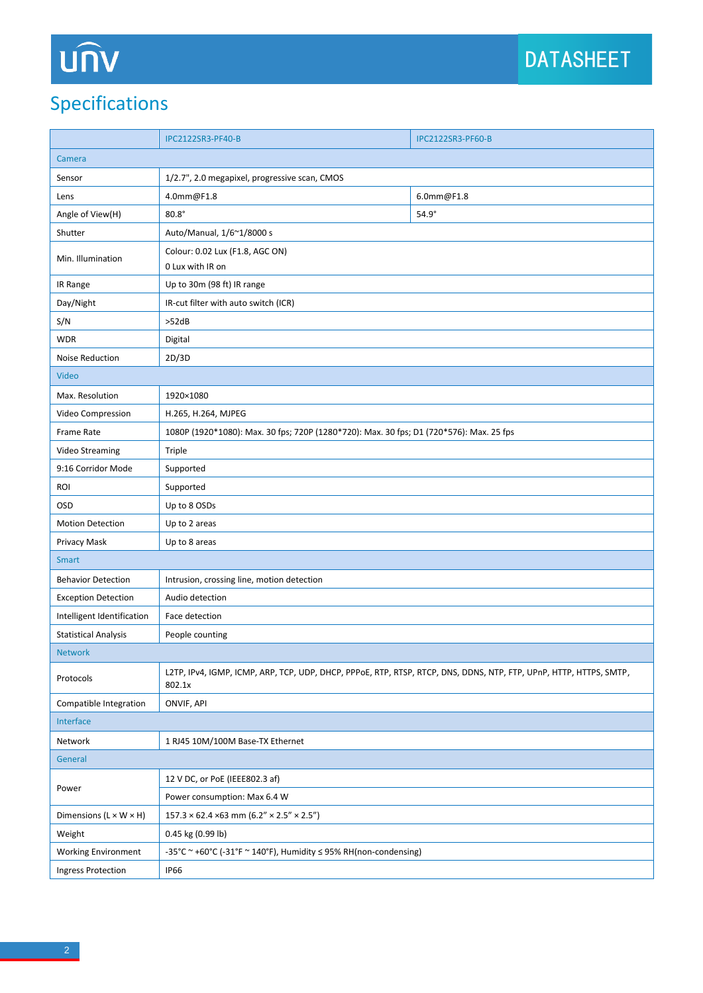# UN

## Specifications

|                                    | <b>IPC2122SR3-PF40-B</b>                                                                                                     | <b>IPC2122SR3-PF60-B</b> |  |
|------------------------------------|------------------------------------------------------------------------------------------------------------------------------|--------------------------|--|
| Camera                             |                                                                                                                              |                          |  |
| Sensor                             | 1/2.7", 2.0 megapixel, progressive scan, CMOS                                                                                |                          |  |
| Lens                               | 4.0mm@F1.8                                                                                                                   | 6.0mm@F1.8               |  |
| Angle of View(H)                   | $80.8^\circ$                                                                                                                 | $54.9^\circ$             |  |
| Shutter                            | Auto/Manual, 1/6~1/8000 s                                                                                                    |                          |  |
| Min. Illumination                  | Colour: 0.02 Lux (F1.8, AGC ON)                                                                                              |                          |  |
|                                    | 0 Lux with IR on                                                                                                             |                          |  |
| IR Range                           | Up to 30m (98 ft) IR range                                                                                                   |                          |  |
| Day/Night                          | IR-cut filter with auto switch (ICR)                                                                                         |                          |  |
| S/N                                | >52dB                                                                                                                        |                          |  |
| <b>WDR</b>                         | Digital                                                                                                                      |                          |  |
| Noise Reduction                    | 2D/3D                                                                                                                        |                          |  |
| Video                              |                                                                                                                              |                          |  |
| Max. Resolution                    | 1920×1080                                                                                                                    |                          |  |
| Video Compression                  | H.265, H.264, MJPEG                                                                                                          |                          |  |
| <b>Frame Rate</b>                  | 1080P (1920*1080): Max. 30 fps; 720P (1280*720): Max. 30 fps; D1 (720*576): Max. 25 fps                                      |                          |  |
| Video Streaming                    | Triple                                                                                                                       |                          |  |
| 9:16 Corridor Mode                 | Supported                                                                                                                    |                          |  |
| ROI                                | Supported                                                                                                                    |                          |  |
| OSD                                | Up to 8 OSDs                                                                                                                 |                          |  |
| Motion Detection                   | Up to 2 areas                                                                                                                |                          |  |
| Privacy Mask                       | Up to 8 areas                                                                                                                |                          |  |
| <b>Smart</b>                       |                                                                                                                              |                          |  |
| <b>Behavior Detection</b>          | Intrusion, crossing line, motion detection                                                                                   |                          |  |
| <b>Exception Detection</b>         | Audio detection                                                                                                              |                          |  |
| Intelligent Identification         | Face detection                                                                                                               |                          |  |
| <b>Statistical Analysis</b>        | People counting                                                                                                              |                          |  |
| <b>Network</b>                     |                                                                                                                              |                          |  |
| Protocols                          | L2TP, IPv4, IGMP, ICMP, ARP, TCP, UDP, DHCP, PPPoE, RTP, RTSP, RTCP, DNS, DDNS, NTP, FTP, UPnP, HTTP, HTTPS, SMTP,<br>802.1x |                          |  |
| Compatible Integration             | ONVIF, API                                                                                                                   |                          |  |
| Interface                          |                                                                                                                              |                          |  |
| Network                            | 1 RJ45 10M/100M Base-TX Ethernet                                                                                             |                          |  |
| General                            |                                                                                                                              |                          |  |
| Power                              | 12 V DC, or PoE (IEEE802.3 af)                                                                                               |                          |  |
|                                    | Power consumption: Max 6.4 W                                                                                                 |                          |  |
| Dimensions $(L \times W \times H)$ | $157.3 \times 62.4 \times 63$ mm $(6.2'' \times 2.5'' \times 2.5'')$                                                         |                          |  |
| Weight                             | 0.45 kg (0.99 lb)                                                                                                            |                          |  |
| <b>Working Environment</b>         | -35°C ~ +60°C (-31°F ~ 140°F), Humidity ≤ 95% RH(non-condensing)                                                             |                          |  |
| <b>Ingress Protection</b>          | <b>IP66</b>                                                                                                                  |                          |  |